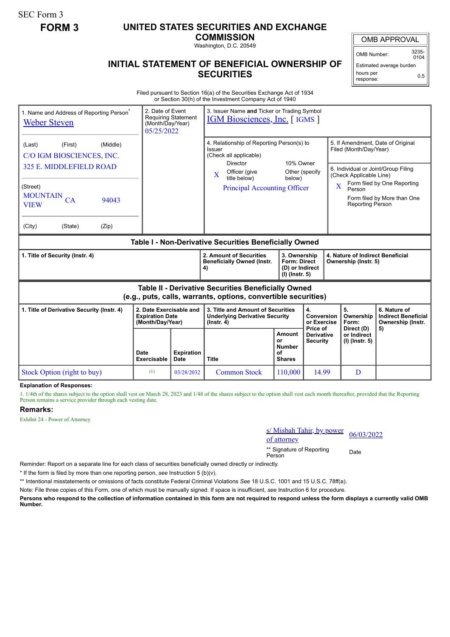SEC Form 3

## **FORM 3 UNITED STATES SECURITIES AND EXCHANGE**

**COMMISSION**

Washington, D.C. 20549

## **INITIAL STATEMENT OF BENEFICIAL OWNERSHIP OF SECURITIES**

OMB APPROVAL

OMB Number: 3235-  $0104$ 

Estimated average burden hours per response: 0.5

Filed pursuant to Section 16(a) of the Securities Exchange Act of 1934 or Section 30(h) of the Investment Company Act of 1940

| 1. Name and Address of Reporting Person <sup>®</sup><br><b>Weber Steven</b>                                                                                            | 2. Date of Event<br>(Month/Day/Year)<br>05/25/2022                    | <b>Requiring Statement</b>       | 3. Issuer Name and Ticker or Trading Symbol<br><b>IGM Biosciences, Inc.</b> [IGMS ]                                                                                                                                    |                                                                          |                                             |                                                                                                                                                                                                                                       |                                                                 |
|------------------------------------------------------------------------------------------------------------------------------------------------------------------------|-----------------------------------------------------------------------|----------------------------------|------------------------------------------------------------------------------------------------------------------------------------------------------------------------------------------------------------------------|--------------------------------------------------------------------------|---------------------------------------------|---------------------------------------------------------------------------------------------------------------------------------------------------------------------------------------------------------------------------------------|-----------------------------------------------------------------|
| (Middle)<br>(First)<br>(Last)<br>C/O IGM BIOSCIENCES, INC.<br>325 E. MIDDLEFIELD ROAD<br>(Street)<br>MOUNTAIN CA<br>94043<br><b>VIEW</b><br>(City)<br>(State)<br>(Zip) |                                                                       |                                  | 4. Relationship of Reporting Person(s) to<br>Issuer<br>(Check all applicable)<br>10% Owner<br>Director<br>Other (specify<br>Officer (give<br>$\bf{X}$<br>title below)<br>below)<br><b>Principal Accounting Officer</b> |                                                                          |                                             | 5. If Amendment, Date of Original<br>Filed (Month/Day/Year)<br>6. Individual or Joint/Group Filing<br>(Check Applicable Line)<br>Form filed by One Reporting<br>X<br>Person<br>Form filed by More than One<br><b>Reporting Person</b> |                                                                 |
| Table I - Non-Derivative Securities Beneficially Owned                                                                                                                 |                                                                       |                                  |                                                                                                                                                                                                                        |                                                                          |                                             |                                                                                                                                                                                                                                       |                                                                 |
| 1. Title of Security (Instr. 4)                                                                                                                                        |                                                                       |                                  | 2. Amount of Securities<br><b>Beneficially Owned (Instr.</b><br>4)                                                                                                                                                     | 3. Ownership<br><b>Form: Direct</b><br>(D) or Indirect<br>(I) (Instr. 5) |                                             | 4. Nature of Indirect Beneficial<br>Ownership (Instr. 5)                                                                                                                                                                              |                                                                 |
| Table II - Derivative Securities Beneficially Owned<br>(e.g., puts, calls, warrants, options, convertible securities)                                                  |                                                                       |                                  |                                                                                                                                                                                                                        |                                                                          |                                             |                                                                                                                                                                                                                                       |                                                                 |
| 1. Title of Derivative Security (Instr. 4)                                                                                                                             | 2. Date Exercisable and<br><b>Expiration Date</b><br>(Month/Day/Year) |                                  | 3. Title and Amount of Securities<br><b>Underlying Derivative Security</b><br>$($ Instr. 4 $)$                                                                                                                         |                                                                          | 4.<br>Conversion<br>or Exercise<br>Price of | 5.<br>Ownership<br>Form:<br>Direct (D)                                                                                                                                                                                                | 6. Nature of<br><b>Indirect Beneficial</b><br>Ownership (Instr. |
|                                                                                                                                                                        | Date<br><b>Exercisable</b>                                            | <b>Expiration</b><br><b>Date</b> | <b>Title</b>                                                                                                                                                                                                           | <b>Amount</b><br>or<br><b>Number</b><br>οf<br><b>Shares</b>              | <b>Derivative</b><br><b>Security</b>        | or Indirect<br>$(I)$ (lnstr. 5)                                                                                                                                                                                                       | 5)                                                              |
| Stock Option (right to buy)                                                                                                                                            | (1)                                                                   | 03/28/2032                       | <b>Common Stock</b>                                                                                                                                                                                                    | 110,000                                                                  | 14.99                                       | D                                                                                                                                                                                                                                     |                                                                 |

**Explanation of Responses:**

1. 1/4th of the shares subject to the option shall vest on March 28, 2023 and 1/48 of the shares subject to the option shall vest each month thereafter, provided that the Reporting Person remains a service provider through each vesting date.

## **Remarks:**

Exhibit 24 - Power of Attorney

s/ Misbah Tahir, by power  $\frac{S}{S}$  Misban Tahlr, by power<br>of attorney

\*\* Signature of Reporting <sub>Date</sub><br>Person

Reminder: Report on a separate line for each class of securities beneficially owned directly or indirectly.

\* If the form is filed by more than one reporting person, *see* Instruction 5 (b)(v).

\*\* Intentional misstatements or omissions of facts constitute Federal Criminal Violations *See* 18 U.S.C. 1001 and 15 U.S.C. 78ff(a).

Note: File three copies of this Form, one of which must be manually signed. If space is insufficient, *see* Instruction 6 for procedure.

**Persons who respond to the collection of information contained in this form are not required to respond unless the form displays a currently valid OMB Number.**